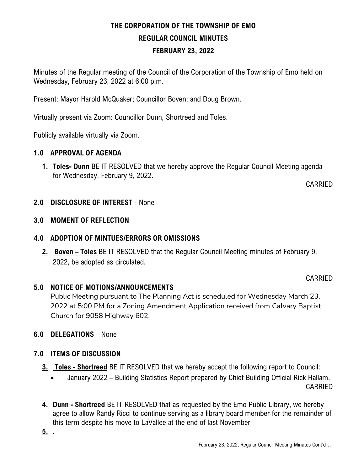# **THE CORPORATION OF THE TOWNSHIP OF EMO REGULAR COUNCIL MINUTES FEBRUARY 23, 2022**

Minutes of the Regular meeting of the Council of the Corporation of the Township of Emo held on Wednesday, February 23, 2022 at 6:00 p.m.

Present: Mayor Harold McQuaker; Councillor Boven; and Doug Brown.

Virtually present via Zoom: Councillor Dunn, Shortreed and Toles.

Publicly available virtually via Zoom.

#### **1.0 APPROVAL OF AGENDA**

**1. Toles- Dunn** BE IT RESOLVED that we hereby approve the Regular Council Meeting agenda for Wednesday, February 9, 2022.

CARRIED

**2.0 DISCLOSURE OF INTEREST** - None

### **3.0 MOMENT OF REFLECTION**

### **4.0 ADOPTION OF MINTUES/ERRORS OR OMISSIONS**

**2. Boven – Toles** BE IT RESOLVED that the Regular Council Meeting minutes of February 9. 2022, be adopted as circulated.

#### CARRIED

### **5.0 NOTICE OF MOTIONS/ANNOUNCEMENTS**

Public Meeting pursuant to The Planning Act is scheduled for Wednesday March 23, 2022 at 5:00 PM for a Zoning Amendment Application received from Calvary Baptist Church for 9058 Highway 602.

### **6.0 DELEGATIONS** – None

### **7.0 ITEMS OF DISCUSSION**

- **3. Toles - Shortreed** BE IT RESOLVED that we hereby accept the following report to Council:
	- January 2022 Building Statistics Report prepared by Chief Building Official Rick Hallam. CARRIED
- **4. Dunn - Shortreed** BE IT RESOLVED that as requested by the Emo Public Library, we hereby agree to allow Randy Ricci to continue serving as a library board member for the remainder of this term despite his move to LaVallee at the end of last November

**5.** .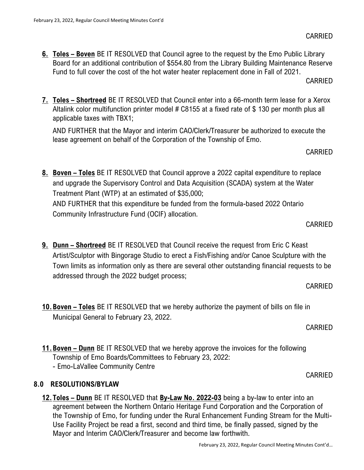applicable taxes with TBX1;

Treatment Plant (WTP) at an estimated of \$35,000;

AND FURTHER that this expenditure be funded from the formula-based 2022 Ontario Community Infrastructure Fund (OCIF) allocation.

**8. Boven – Toles** BE IT RESOLVED that Council approve a 2022 capital expenditure to replace and upgrade the Supervisory Control and Data Acquisition (SCADA) system at the Water

- **9. Dunn – Shortreed** BE IT RESOLVED that Council receive the request from Eric C Keast Artist/Sculptor with Bingorage Studio to erect a Fish/Fishing and/or Canoe Sculpture with the Town limits as information only as there are several other outstanding financial requests to be addressed through the 2022 budget process;
- **10.Boven – Toles** BE IT RESOLVED that we hereby authorize the payment of bills on file in Municipal General to February 23, 2022.
- **11.Boven – Dunn** BE IT RESOLVED that we hereby approve the invoices for the following Township of Emo Boards/Committees to February 23, 2022: - Emo-LaVallee Community Centre

### **8.0 RESOLUTIONS/BYLAW**

**12.Toles – Dunn** BE IT RESOLVED that **By-Law No. 2022-03** being a by-law to enter into an agreement between the Northern Ontario Heritage Fund Corporation and the Corporation of the Township of Emo, for funding under the Rural Enhancement Funding Stream for the Multi-Use Facility Project be read a first, second and third time, be finally passed, signed by the Mayor and Interim CAO/Clerk/Treasurer and become law forthwith.

February 23, 2022, Regular Council Meeting Minutes Cont'd…

**6. Toles – Boven** BE IT RESOLVED that Council agree to the request by the Emo Public Library Board for an additional contribution of \$554.80 from the Library Building Maintenance Reserve Fund to full cover the cost of the hot water heater replacement done in Fall of 2021.

**7. Toles – Shortreed** BE IT RESOLVED that Council enter into a 66-month term lease for a Xerox Altalink color multifunction printer model # C8155 at a fixed rate of \$130 per month plus all

AND FURTHER that the Mayor and interim CAO/Clerk/Treasurer be authorized to execute the

lease agreement on behalf of the Corporation of the Township of Emo.

CARRIED

CARRIED

CARRIED

CARRIED

## CARRIED

CARRIED

# CARRIED